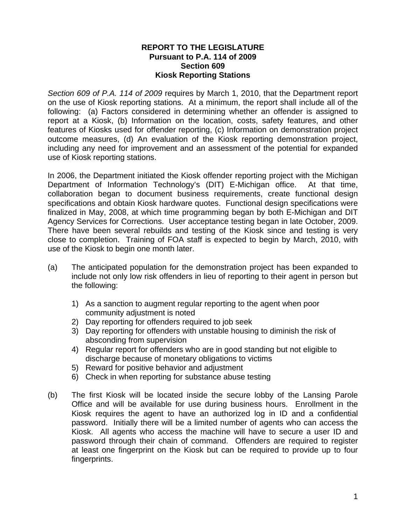## **REPORT TO THE LEGISLATURE Pursuant to P.A. 114 of 2009 Section 609 Kiosk Reporting Stations**

*Section 609 of P.A. 114 of 2009* requires by March 1, 2010, that the Department report on the use of Kiosk reporting stations. At a minimum, the report shall include all of the following: (a) Factors considered in determining whether an offender is assigned to report at a Kiosk, (b) Information on the location, costs, safety features, and other features of Kiosks used for offender reporting, (c) Information on demonstration project outcome measures, (d) An evaluation of the Kiosk reporting demonstration project, including any need for improvement and an assessment of the potential for expanded use of Kiosk reporting stations.

In 2006, the Department initiated the Kiosk offender reporting project with the Michigan Department of Information Technology's (DIT) E-Michigan office. At that time, collaboration began to document business requirements, create functional design specifications and obtain Kiosk hardware quotes. Functional design specifications were finalized in May, 2008, at which time programming began by both E-Michigan and DIT Agency Services for Corrections. User acceptance testing began in late October, 2009. There have been several rebuilds and testing of the Kiosk since and testing is very close to completion. Training of FOA staff is expected to begin by March, 2010, with use of the Kiosk to begin one month later.

- (a) The anticipated population for the demonstration project has been expanded to include not only low risk offenders in lieu of reporting to their agent in person but the following:
	- 1) As a sanction to augment regular reporting to the agent when poor community adjustment is noted
	- 2) Day reporting for offenders required to job seek
	- 3) Day reporting for offenders with unstable housing to diminish the risk of absconding from supervision
	- 4) Regular report for offenders who are in good standing but not eligible to discharge because of monetary obligations to victims
	- 5) Reward for positive behavior and adjustment
	- 6) Check in when reporting for substance abuse testing
- (b) The first Kiosk will be located inside the secure lobby of the Lansing Parole Office and will be available for use during business hours. Enrollment in the Kiosk requires the agent to have an authorized log in ID and a confidential password. Initially there will be a limited number of agents who can access the Kiosk. All agents who access the machine will have to secure a user ID and password through their chain of command. Offenders are required to register at least one fingerprint on the Kiosk but can be required to provide up to four fingerprints.